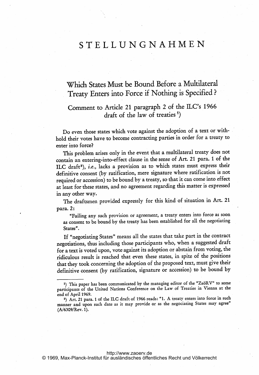# STELLUNGNAHMEN

Which States Must be Bound Before a Multilateral Treaty Enters into Force if Nothing is Specified

Comment to Article <sup>21</sup> paragraph <sup>2</sup> of the ILC's 1966 draft of the law of treaties')

Do even those states which vote against the adoption of <sup>a</sup> text or withhold their votes have to become contracting parties in order for a treaty to enter into force?

This problem arises only in the event that a multilateral treaty does not contain an entering-into-effect clause in the sense of Art. 21 para. <sup>1</sup> of the ILC draft<sup>2</sup>), i.e., lacks a provision as to which states must express their definitive consent (by ratification, mere signature where ratification is not required or accession) to be bound by a treaty, so that it can come into effect at least for these states, and no agreement regarding this matter is expressed in any other way.

The draftsmen provided expressly for this kind of situation in Art. 21 para. 2:

"Failing any such provision or agreement, a treaty enters into force as soon as consent to be bound by the treaty has been established for all the negotiating States".

If "negotiating States" means all the states that take part in the contract negotiations, thus including those participants who, when <sup>a</sup> suggested draft for <sup>a</sup> text is voted upon, vote against its adoption or abstain from voting, the ridiculous result is reached that even these states, in spite of the positions that they took concerning the adoption of the proposed text, must give their definitive consent (by ratification, signature or accession) to be bound by

<sup>1)</sup> This paper has been communicated by the managing editor of the "ZaöRV" to some participants of the United Nations Conference on the Law.of Treaties in Vienna at the end of April 1969.

<sup>&</sup>lt;sup>2</sup>) Art. 21 para. 1 of the ILC draft of 1966 reads: "1. A treaty enters into force in such manner and upon such date as it may provide or as the negociating States may agree" (A/6309/Rev. 1).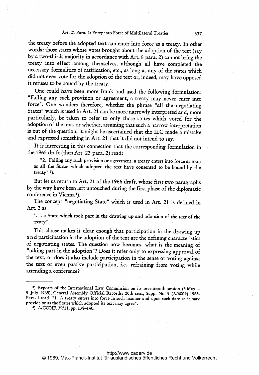## Art. 21 Para. 2: Entry into Force of Multilateral Treaties 537

the treaty before the adopted text can enter into force as a treaty. In other words: those states whose votes brought about the adoption of the text (say by <sup>a</sup> two-thirds majority in accordance with Art. <sup>8</sup> para. 2) cannot bring the treaty into effect among themselves, although all have completed the necessary formalities of ratification, etc., as long as any of the states which did not even vote for the adoption of the text or, indeed, may have opposed it refuses to be bound by the treaty.

One could have been more frank and used the following formulation: "Failing any such provision or agreement, a treaty may never enter into force". One wonders therefore, whether the phrase "all the negotiating States" which is used in Art. 21 can be more narrowly interpreted and, more particularly, be taken to refer to only those states which voted for the adoption of the text, or whether, assuming that such a narrow interpretation is out of the question, it might be ascertained that the ILC made a mistake and expressed something in Art. 21 that it did not intend to say.

It is interesting in this connection that the corresponding formulation in the 1965 draft (then Art. 23 para. 2) read:

"2. Failing any such provision or agreement, a treaty enters into force as soon as all the States which adopted the text have consented to be bound by the treaty" 3).

But let us return to Art. 21 of the 1966 draft, whose first two paragraphs by the way have been left untouched during the first phase of the diplomatic conference in Vienna 4).

The concept "negotiating State" which is used in Art. <sup>21</sup> is defined in Art. 2 as

<sup>a</sup> State which took part in the drawing up and adoption of the text of the treaty".

This clause makes it clear enough that participation in the drawing up and participation in the adoption of the text are the defining characteristics of negotiating states. The question now becomes, what is the meaning of "taking part in the adoption"? Does it refer only to expressing approval of the. text, or does it also include participation in the sense of voting against the text or even passive participation, i.e., refraining from voting while attending a conference?

<sup>3)</sup> Reports of the International Law Commission on its seventeenth session (3 May - <sup>9</sup> July 1965), General Assembly Official Records: 20th sess., Supp. No. <sup>9</sup> (A/6009) 1965. Para. <sup>I</sup> read: "I. A treaty enters into force in such manner and upon such date as it may provide or as the States which adopted its text may agree".

<sup>4)</sup> A/CONF. 39/11, pp. 138-140.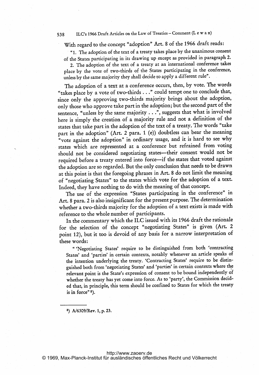# <sup>538</sup> ILC's <sup>1966</sup> Draft Articles on the Law of Treaties - Comment (L <sup>e</sup> w <sup>a</sup> n)

With regard to the concept "adoption" Art. <sup>8</sup> of the 1966 draft reads:

" 1. The adoption of the text of <sup>a</sup> treaty takes place by the unanimous consent

of the States participating in its drawing up except as provided in paragraph 2.

2. The adoption of the text of <sup>a</sup> treaty at an international conference takes place by the vote of two-thirds of the States participating in the conference, unless by the same majority they shall decide to apply a different rule".

The adoption of a text at a conference occurs, then, by vote. The words "takes place by a vote of two-thirds . . ." could tempt one to conclude that, since only the approving two-thirds majority brings about the adoption, only those who approve take part in the adoption; but the second part of the sentence, "unless by the same majority . . .", suggests that what is involved here is simply the creation of a majority rule, and not a definition of the states that take part in the adoption of the text of a treaty. The words "take part in the adoption" (Art. 2 para. <sup>1</sup> (e)) doubtless can bear the meaning "vote against the adoption" in ordinary usage, and it is hard to see why states which are represented at <sup>a</sup> conference but refrained from voting should not be considered negotiating states-their consent would not be required before a treaty entered into force-if the states that voted against the adoption are so regarded. But the only conclusion that needs to be drawn at this Point is that the foregoing phrases in Art. <sup>8</sup> do not limit the meaning of "negotiating States" to the states which vote for the adoption of a text. Indeed, they have nothing to do with the meaning of that concept.

The use of the expression "States participating in the conference" in Art. <sup>8</sup> para. <sup>2</sup> is also insignificant for the present purpose. The determination whether <sup>a</sup> two-thirds majority for the adoption of a text exists is made with reference to the whole number of participants.

In the commentary which the ILC issued with its 1966 draft the rationale for the selection of the concept "negotiating States" is given (Art. 2 point 12), but it too is devoid of any basis for <sup>a</sup> narrow interpretation of these words:

" 'Negotiating States' require to be distinguished from both 'contracting States' and 'parties' in certain contexts, notably whenever an article speaks of the intention underlying the treaty. 'Contracting States' require to be distinguished both from 'negotiating States' and 'parties' in certain contexts where the relevant point is the State's expression of consent to be bound independently of whether the treaty has yet come into force. As to 'party', the Commission decided that, in principle, this term should be confined to States for which the treaty is in force" $5$ ).

5) A/6309/Rev. 1, p. 23.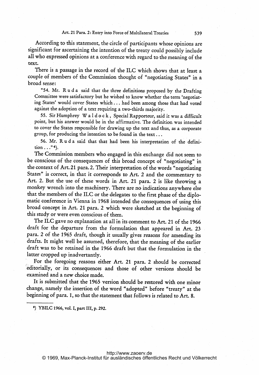## Art. 21 Para. 2: Entry into Force of Multilateral Treaties 539

According to this statement, the circle of participants whose opinions are significant for ascertaining the intention of the treaty could possibly include all who expressed opinions at <sup>a</sup> conference with regard to the meaning of the text.

There is a passage in the record of the ILC which shows that at least a couple of members of the Commission thought of "negotiating States" in <sup>a</sup> broad sense:

"54. Mr. R <sup>u</sup> <sup>d</sup> <sup>a</sup> said that the three definitions proposed by the Drafting Committee were satisfactory but he wished to know whether the term 'negotiating States' would cover States which ... had been among those that had voted against the adoption of a text requiring <sup>a</sup> two-thirds majority.

55. Sir Humphrey W a l d o c k, Special Rapporteur, said it was a difficult point, but his answer would be in the affirmative. The definition was intended to cover the States responsible for drawing up the text and thus, as <sup>a</sup> corporate group, for producing the intention to be found in the text...

56. Mr. Ruda said that that had been his interpretation of the definition  $\cdots$ <sup>"6</sup>).

The Commission members who engaged in this exchange did not seem to be conscious of the consequences of this broad concept of "negotiating" in the context of Art. 21 para. 2. Their interpretation of the words "negotiating States" is correct, in that it corresponds to Art. <sup>2</sup> and the commentary to Art. 2. But the use of these words in Art. <sup>21</sup> para. <sup>2</sup> is like throwing <sup>a</sup> monkey wrench into the machinery. There are no indications anywhere else that the members of the ILC or the delegates to the first phase of the diplomatic conference in Vienna in <sup>1968</sup> intended the consequences of using this broad concept in Art. <sup>21</sup> para. <sup>2</sup> which were sketched at the beginning of this study or were even conscious of them.

The ILC gave no explanation at all in its comment to Art. <sup>21</sup> of the 1966 draft for the departure from the formulation that appeared in Art. 23 para. <sup>2</sup> of the <sup>1965</sup> draft, though it usually gives reasons for amending its drafts. It might well be assumed, therefore, that the meaning of the earlier draft was to be retained in the 1966 draft but that the formulation in the latter cropped up inadvertantly.

For the foregoing reasons either Art. <sup>21</sup> para. <sup>2</sup> should be corrected editorially, or its consequences and those of other versions should be examined and a new choice made.

It is submitted that the 1965 version should be restored with one minor change, namely the insertion of the word "adopted" before "treaty" at the beginning of para. 1, so that the statement that follows is related to Art. 8.

6) YBILC 1966, vol. I, part III, p. 292.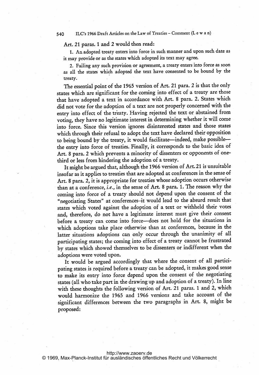## <sup>540</sup> ILC's <sup>1966</sup> Draft Articles on the Law of Treaties - Comment (L <sup>e</sup> w <sup>a</sup> n)

## Art. <sup>21</sup> paras. <sup>1</sup> and 2 would then read:

1. An adopted treaty enters into force in such manner and upon such date as it may provide or as the states which adopted its text may agree.

2. Failing any such provision or agreement, a treaty enters into force as soon as all the states which adopted the text have consented to be bound by the treaty.

The essential point of the 1965 version of Art. <sup>21</sup> para. 2 is that the only states which are significant for the coming into effect of a treaty are those that have adopted <sup>a</sup> text in accordance with Art. <sup>8</sup> para. 2. States which did not vote for the adoption of a text are not properly concerned with the entry into effect of the treaty. Having rejected the text or abstained from voting, they have no legitimate interest in determining whether it will come into force. Since this version ignores disinterested states and those states which through their refusal to adopt the text have declared their opposition to being bound by the treaty, it would facilitate-indeed, make possiblethe entry into force of treaties. Finally, it corresponds to the basic idea of Art. <sup>8</sup> para. <sup>2</sup> which prevents <sup>a</sup> minority of dissenters or opponents of onethird or less from hindering the adoption of a treaty.

It might be argued that, although the 1966 version of Art. <sup>21</sup> is unsuitable insofar as it applies to treaties that are adopted at conferences in the sense of Art. <sup>8</sup> para. 2, it is appropriate for treaties whose adoption occurs otherwise than at <sup>a</sup> conference, i.e., in the sense of Art. <sup>8</sup> para. 1. The reason why the coming into force of <sup>a</sup> treaty should not depend upon the consent of the "negotiating States" at conferences-it would lead to the absurd result that states which voted against the adoption of a text or withheld their votes and, therefore, do not have a legitimate interest must give their consent before a treaty can come into force-does not hold for the situations in which adoptions take place otherwise than at conferences, because in the latter situations adoptions can only occur through the unanimity of all participating states; the coming into effect of <sup>a</sup> treaty cannot be frustrated by states which showed themselves to be dissenters or indifferent when the adoptions were voted upon.

It would be argued accordingly that where the consent of all participating states is required before <sup>a</sup> treaty can be adopted, it makes good sense to make its entry into force depend upon the consent of the negotiating states (all who take part in the drawing up and adoption of <sup>a</sup> treaty). In line with these thoughts the following version of Art. <sup>21</sup> paras. <sup>1</sup> and 2, which would harmonize the 1965 and 1966 versions and take account of the significant differences between the two. paragraphs in Art. 8, might be proposed: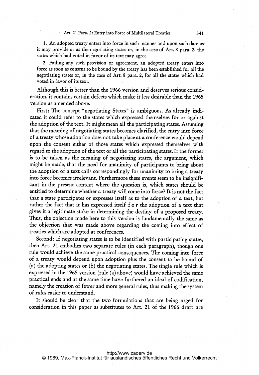#### Art. 21 Para. 2: Entry into Force of Multilateral Treaties 541

1. An adopted treaty enters into force in such manner and upon such date asit may provide or as the negotiating states or, in the case of Art. <sup>8</sup> para. 2, the states which had voted in favor of its text may agree.

2. Failing any such provision or agreement, an adopted treaty enters into force as soon as consent to be bound by the treaty has been established for all the negotiating states or, in the case of Art. <sup>8</sup> para. 2, for all the states which had voted in favor of its text.

Although this is better than the 1966 version and deserves serious consideration, it contains certain defects which make it less desirable than the 1965 version as amended above.

First: The concept "negotiating States" is ambiguous. As already indicated it could refer to the states which expressed themselves for or against the adoption of the text. It might mean all the participating states. Assuming that the meaning of negotiating states becomes clarified, the entry into force of a treaty whose adoption does not take place at a conference would depend upon the consent either of those states which expressed themselves with regard to the adoption of the text or all the participating states. If the former is to be taken as the meaning of negotiating states, the argument, which might be made, that the need for unanimity of participants to bring about the adoption of a text calls correspondingly for unanimity to bring a treaty into force becomes irrelevant. Furthermore these events seem to be insignificant in the present context where the question is, which states should be entitled to determine whether a treaty will come into force? It is not the fact that a state participates or expresses itself as to the adoption of a text, but rather the fact that it has expressed itself <sup>f</sup> o <sup>r</sup> the adoption of a text that gives it a legitimate stake in determining the destiny of a proposed treaty. Thus, the objection made here to this version is fundamentally the same as the objection that was made above regarding the coming into effect of treaties which are adopted at conferences.

Second: If negotiating states is to be identified with participating states, then Art. 21 embodies two separate rules (in each paragraph), though one rule would achieve the same practical consequences. The coming into force of <sup>a</sup> treaty would depend upon adoption plus the consent to be bound of (a) the adopting states or (b) the negotiating states. The single rule which is expressed in the 1965 version (rule (a) above) would have achieved the same practical ends and at the same time have furthered an ideal of codification, namely the creation of fewer and more general rules, thus making the system of rules easier to understand.

It should be clear that the two formulations that are being urged for consideration in this paper as substitutes to Art. 21 of the 1966 draft are